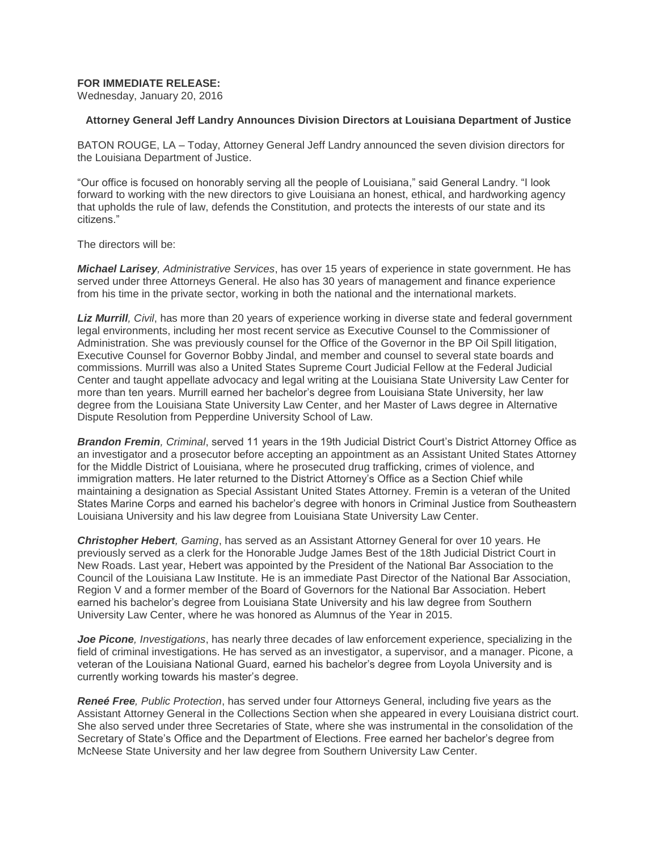## **FOR IMMEDIATE RELEASE:**

Wednesday, January 20, 2016

## **Attorney General Jeff Landry Announces Division Directors at Louisiana Department of Justice**

BATON ROUGE, LA – Today, Attorney General Jeff Landry announced the seven division directors for the Louisiana Department of Justice.

"Our office is focused on honorably serving all the people of Louisiana," said General Landry. "I look forward to working with the new directors to give Louisiana an honest, ethical, and hardworking agency that upholds the rule of law, defends the Constitution, and protects the interests of our state and its citizens."

The directors will be:

*Michael Larisey, Administrative Services*, has over 15 years of experience in state government. He has served under three Attorneys General. He also has 30 years of management and finance experience from his time in the private sector, working in both the national and the international markets.

*Liz Murrill, Civil*, has more than 20 years of experience working in diverse state and federal government legal environments, including her most recent service as Executive Counsel to the Commissioner of Administration. She was previously counsel for the Office of the Governor in the BP Oil Spill litigation, Executive Counsel for Governor Bobby Jindal, and member and counsel to several state boards and commissions. Murrill was also a United States Supreme Court Judicial Fellow at the Federal Judicial Center and taught appellate advocacy and legal writing at the Louisiana State University Law Center for more than ten years. Murrill earned her bachelor's degree from Louisiana State University, her law degree from the Louisiana State University Law Center, and her Master of Laws degree in Alternative Dispute Resolution from Pepperdine University School of Law.

*Brandon Fremin, Criminal*, served 11 years in the 19th Judicial District Court's District Attorney Office as an investigator and a prosecutor before accepting an appointment as an Assistant United States Attorney for the Middle District of Louisiana, where he prosecuted drug trafficking, crimes of violence, and immigration matters. He later returned to the District Attorney's Office as a Section Chief while maintaining a designation as Special Assistant United States Attorney. Fremin is a veteran of the United States Marine Corps and earned his bachelor's degree with honors in Criminal Justice from Southeastern Louisiana University and his law degree from Louisiana State University Law Center.

*Christopher Hebert, Gaming*, has served as an Assistant Attorney General for over 10 years. He previously served as a clerk for the Honorable Judge James Best of the 18th Judicial District Court in New Roads. Last year, Hebert was appointed by the President of the National Bar Association to the Council of the Louisiana Law Institute. He is an immediate Past Director of the National Bar Association, Region V and a former member of the Board of Governors for the National Bar Association. Hebert earned his bachelor's degree from Louisiana State University and his law degree from Southern University Law Center, where he was honored as Alumnus of the Year in 2015.

*Joe Picone, Investigations*, has nearly three decades of law enforcement experience, specializing in the field of criminal investigations. He has served as an investigator, a supervisor, and a manager. Picone, a veteran of the Louisiana National Guard, earned his bachelor's degree from Loyola University and is currently working towards his master's degree.

*Reneé Free, Public Protection*, has served under four Attorneys General, including five years as the Assistant Attorney General in the Collections Section when she appeared in every Louisiana district court. She also served under three Secretaries of State, where she was instrumental in the consolidation of the Secretary of State's Office and the Department of Elections. Free earned her bachelor's degree from McNeese State University and her law degree from Southern University Law Center.